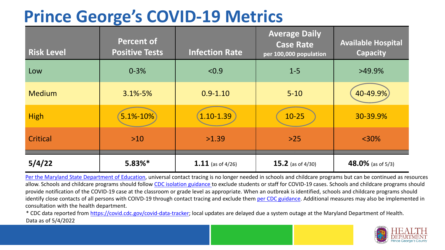## **Prince George's COVID-19 Metrics**

| <b>Risk Level</b> | <b>Percent of</b><br><b>Positive Tests</b> | <b>Infection Rate</b> | <b>Average Daily</b><br><b>Case Rate</b><br>per 100,000 population | <b>Available Hospital</b><br><b>Capacity</b> |
|-------------------|--------------------------------------------|-----------------------|--------------------------------------------------------------------|----------------------------------------------|
| Low               | $0 - 3%$                                   | < 0.9                 | $1 - 5$                                                            | $>49.9\%$                                    |
| <b>Medium</b>     | $3.1\% - 5\%$                              | $0.9 - 1.10$          | $5 - 10$                                                           | 40-49.9%                                     |
| <b>High</b>       | 5.1%-10%                                   | $1.10 - 1.39$         | $10 - 25$                                                          | 30-39.9%                                     |
| Critical          | $>10$                                      | >1.39                 | $>25$                                                              | $<$ 30%                                      |
| 5/4/22            | $5.83%$ *                                  | $1.11$ (as of 4/26)   | <b>15.2</b> (as of $4/30$ )                                        | 48.0% (as of $5/3$ )                         |

[Per the Maryland State Department of Education,](https://earlychildhood.marylandpublicschools.org/system/files/filedepot/3/covid_guidance_full_080420.pdf) universal contact tracing is no longer needed in schools and childcare programs but can be continued as resources allow. Schools and childcare programs should follow [CDC isolation guidance t](https://www.cdc.gov/coronavirus/2019-ncov/community/schools-childcare/k-12-contact-tracing/about-isolation.html)o exclude students or staff for COVID-19 cases. Schools and childcare programs should provide notification of the COVID-19 case at the classroom or grade level as appropriate. When an outbreak is identified, schools and childcare programs should identify close contacts of all persons with COIVD-19 through contact tracing and exclude them [per CDC guidance](https://www.cdc.gov/coronavirus/2019-ncov/your-health/quarantine-isolation.html). Additional measures may also be implemented in consultation with the health department.

\* CDC data reported from [https://covid.cdc.gov/covid-data-tracker;](https://covid.cdc.gov/covid-data-tracker) local updates are delayed due a system outage at the Maryland Department of Health. Data as of 5/4/2022

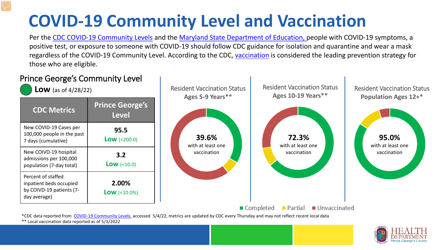# **COVID-19 Community Level and Vaccination**

Per the [CDC COVID-19 Community Levels](https://www.cdc.gov/coronavirus/2019-ncov/science/community-levels.html#anchor_82254) and the [Maryland State Department of Education,](https://earlychildhood.marylandpublicschools.org/system/files/filedepot/3/covid_guidance_full_080420.pdf) people with COVID-19 symptoms, a positive test, or exposure to someone with COVID-19 should follow CDC guidance for isolation and quarantine and wear a mask regardless of the COVID-19 Community Level. According to the CDC, [vaccination](https://www.cdc.gov/coronavirus/2019-ncov/prevent-getting-sick/prevention.html) is considered the leading prevention strategy for those who are eligible.



\*\* Local vaccination data reported as of 5/3/2022

![](_page_1_Picture_4.jpeg)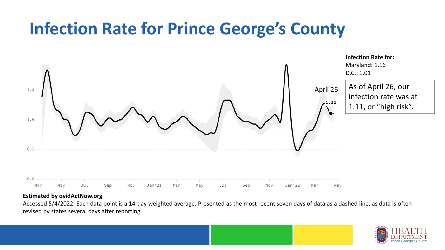## **Infection Rate for Prince George's County**

![](_page_2_Figure_1.jpeg)

#### **Estimated by ovidActNow.org**

Accessed 5/4/2022. Each data point is a 14-day weighted average. Presented as the most recent seven days of data as a dashed line, as data is often revised by states several days after reporting.

![](_page_2_Picture_4.jpeg)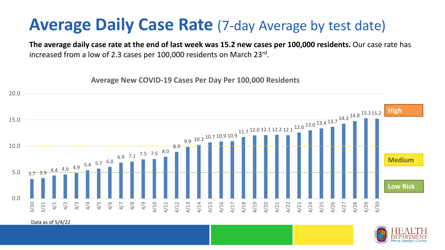### **Average Daily Case Rate** (7-day Average by test date)

**The average daily case rate at the end of last week was 15.2 new cases per 100,000 residents.** Our case rate has increased from a low of 2.3 cases per 100,000 residents on March 23rd.

**Average New COVID-19 Cases Per Day Per 100,000 Residents**

![](_page_3_Figure_3.jpeg)

Data as of 5/4/22

![](_page_3_Picture_5.jpeg)